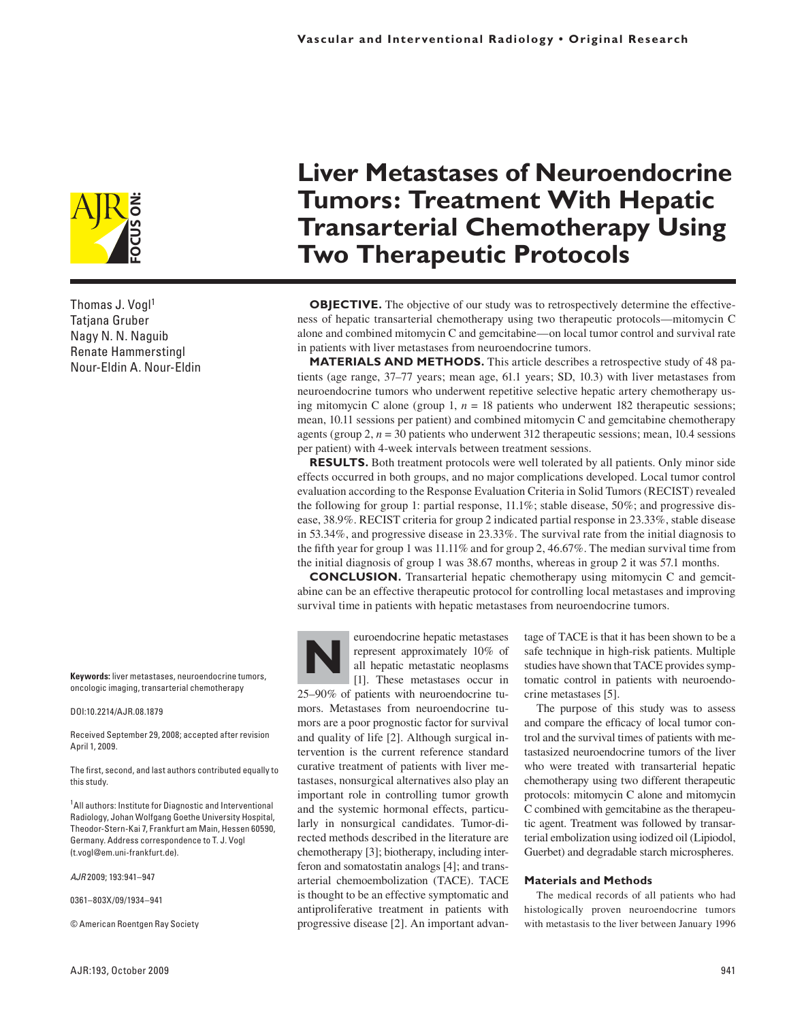

Thomas J. Vogl1 Tatjana Gruber Nagy N. N. Naguib Renate Hammerstingl Nour-Eldin A. Nour-Eldin

**Keywords:** liver metastases, neuroendocrine tumors, oncologic imaging, transarterial chemotherapy

## DOI:10.2214/AJR.08.1879

Received September 29, 2008; accepted after revision April 1, 2009.

The first, second, and last authors contributed equally to this study.

<sup>1</sup>All authors: Institute for Diagnostic and Interventional Radiology, Johan Wolfgang Goethe University Hospital, Theodor-Stern-Kai 7, Frankfurt am Main, Hessen 60590, Germany. Address correspondence to T. J. Vogl (t.vogl@em.uni-frankfurt.de).

*AJR* 2009; 193:941–947

0361–803X/09/1934–941

© American Roentgen Ray Society

# **Liver Metastases of Neuroendocrine Tumors: Treatment With Hepatic Transarterial Chemotherapy Using Two Therapeutic Protocols**

**OBJECTIVE.** The objective of our study was to retrospectively determine the effectiveness of hepatic transarterial chemotherapy using two therapeutic protocols—mitomycin C alone and combined mitomycin C and gemcitabine—on local tumor control and survival rate in patients with liver metastases from neuroendocrine tumors.

**MATERIALS AND METHODS.** This article describes a retrospective study of 48 patients (age range, 37–77 years; mean age, 61.1 years; SD, 10.3) with liver metastases from neuroendocrine tumors who underwent repetitive selective hepatic artery chemotherapy using mitomycin C alone (group 1,  $n = 18$  patients who underwent 182 therapeutic sessions; mean, 10.11 sessions per patient) and combined mitomycin C and gemcitabine chemotherapy agents (group 2,  $n = 30$  patients who underwent 312 therapeutic sessions; mean, 10.4 sessions per patient) with 4-week intervals between treatment sessions.

**RESULTS.** Both treatment protocols were well tolerated by all patients. Only minor side effects occurred in both groups, and no major complications developed. Local tumor control evaluation according to the Response Evaluation Criteria in Solid Tumors (RECIST) revealed the following for group 1: partial response, 11.1%; stable disease, 50%; and progressive disease, 38.9%. RECIST criteria for group 2 indicated partial response in 23.33%, stable disease in 53.34%, and progressive disease in 23.33%. The survival rate from the initial diagnosis to the fifth year for group 1 was 11.11% and for group 2, 46.67%. The median survival time from the initial diagnosis of group 1 was 38.67 months, whereas in group 2 it was 57.1 months.

**CONCLUSION.** Transarterial hepatic chemotherapy using mitomycin C and gemcitabine can be an effective therapeutic protocol for controlling local metastases and improving survival time in patients with hepatic metastases from neuroendocrine tumors.

**N** euroendocrine hepatic metastases represent approximately 10% of all hepatic metastatic neoplasms [1]. These metastases occur in 25–90% of patients with neuroendocrine tumors. Metastases from neuroendocrine tumors are a poor prognostic factor for survival and quality of life [2]. Although surgical intervention is the current reference standard curative treatment of patients with liver metastases, nonsurgical alternatives also play an important role in controlling tumor growth and the systemic hormonal effects, particularly in nonsurgical candidates. Tumor-directed methods described in the literature are chemotherapy [3]; biotherapy, including interferon and somatostatin analogs [4]; and transarterial chemoembolization (TACE). TACE is thought to be an effective symptomatic and antiproliferative treatment in patients with progressive disease [2]. An important advantage of TACE is that it has been shown to be a safe technique in high-risk patients. Multiple studies have shown that TACE provides symptomatic control in patients with neuroendocrine metastases [5].

The purpose of this study was to assess and compare the efficacy of local tumor control and the survival times of patients with metastasized neuroendocrine tumors of the liver who were treated with transarterial hepatic chemotherapy using two different therapeutic protocols: mitomycin C alone and mitomycin C combined with gemcitabine as the therapeutic agent. Treatment was followed by transarterial embolization using iodized oil (Lipiodol, Guerbet) and degradable starch microspheres.

## **Materials and Methods**

The medical records of all patients who had histologically proven neuroendocrine tumors with metastasis to the liver between January 1996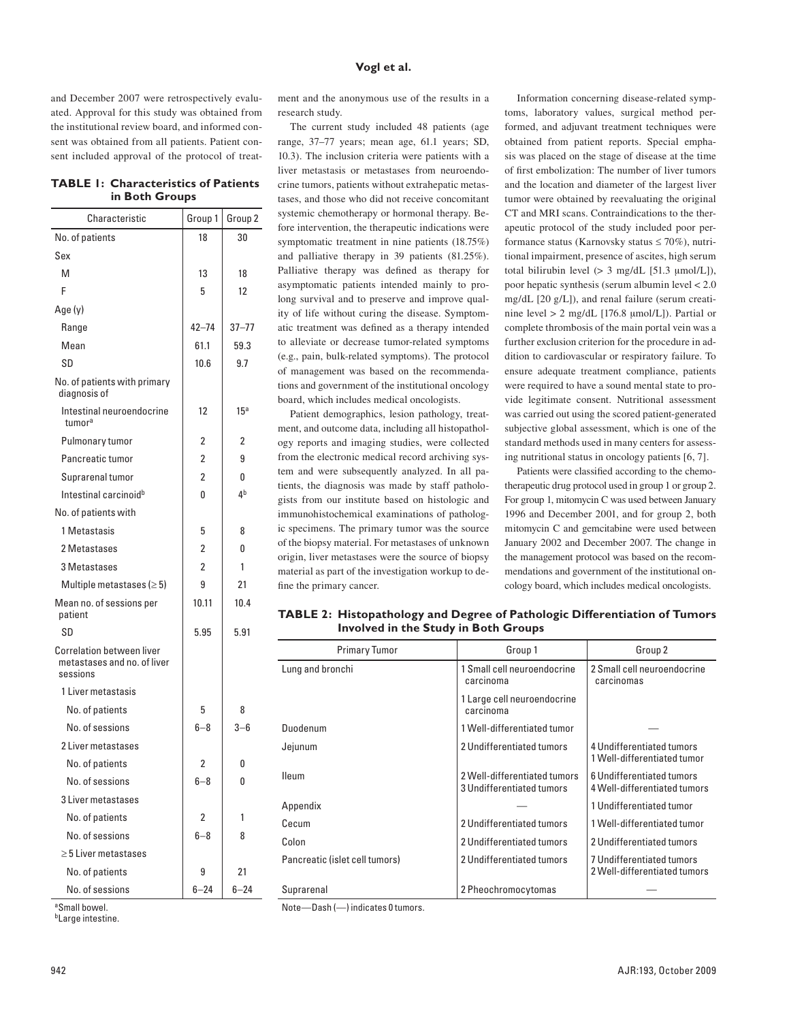and December 2007 were retrospectively evaluated. Approval for this study was obtained from the institutional review board, and informed consent was obtained from all patients. Patient consent included approval of the protocol of treat-

# **TABLE 1: Characteristics of Patients in Both Groups**

| Characteristic                                                       | Group 1        | Group <sub>2</sub> |
|----------------------------------------------------------------------|----------------|--------------------|
| No. of patients                                                      | 18             | 30                 |
| Sex                                                                  |                |                    |
| M                                                                    | 13             | 18                 |
| F                                                                    | 5              | 12                 |
| Age (y)                                                              |                |                    |
| Range                                                                | $42 - 74$      | $37 - 77$          |
| Mean                                                                 | 61.1           | 59.3               |
| SD                                                                   | 10.6           | 9.7                |
| No. of patients with primary<br>diagnosis of                         |                |                    |
| Intestinal neuroendocrine<br>tumorª                                  | 12             | 15 <sup>a</sup>    |
| Pulmonary tumor                                                      | 2              | 2                  |
| Pancreatic tumor                                                     | $\overline{2}$ | 9                  |
| Suprarenal tumor                                                     | $\overline{2}$ | 0                  |
| Intestinal carcinoid <sup>b</sup>                                    | 0              | 4b                 |
| No. of patients with                                                 |                |                    |
| 1 Metastasis                                                         | 5              | 8                  |
| 2 Metastases                                                         | 2              | 0                  |
| 3 Metastases                                                         | $\overline{2}$ | 1                  |
| Multiple metastases ( $\geq 5$ )                                     | 9              | 21                 |
| Mean no. of sessions per<br>patient                                  | 10.11          | 10.4               |
| SD                                                                   | 5.95           | 5.91               |
| Correlation between liver<br>metastases and no, of liver<br>sessions |                |                    |
| 1 Liver metastasis                                                   |                |                    |
| No. of patients                                                      | 5              | 8                  |
| No. of sessions                                                      | $6 - 8$        | $3 - 6$            |
| 2 Liver metastases                                                   |                |                    |
| No. of patients                                                      | 2              | 0                  |
| No. of sessions                                                      | $6 - 8$        | 0                  |
| 3 Liver metastases                                                   |                |                    |
| No. of patients                                                      | 2              | 1                  |
| No. of sessions                                                      | 6–8            | 8                  |
| > 5 Liver metastases                                                 |                |                    |
| No. of patients                                                      | 9              | 21                 |
| No. of sessions                                                      | $6 - 24$       | 6–24               |

ment and the anonymous use of the results in a research study.

The current study included 48 patients (age range, 37–77 years; mean age, 61.1 years; SD, 10.3). The inclusion criteria were patients with a liver metastasis or metastases from neuroendocrine tumors, patients without extrahepatic metastases, and those who did not receive concomitant systemic chemotherapy or hormonal therapy. Before intervention, the therapeutic indications were symptomatic treatment in nine patients (18.75%) and palliative therapy in 39 patients (81.25%). Palliative therapy was defined as therapy for asymptomatic patients intended mainly to prolong survival and to preserve and improve quality of life without curing the disease. Symptomatic treatment was defined as a therapy intended to alleviate or decrease tumor-related symptoms (e.g., pain, bulk-related symptoms). The protocol of management was based on the recommendations and government of the institutional oncology board, which includes medical oncologists.

Patient demographics, lesion pathology, treatment, and outcome data, including all histopathology reports and imaging studies, were collected from the electronic medical record archiving system and were subsequently analyzed. In all patients, the diagnosis was made by staff pathologists from our institute based on histologic and immunohistochemical examinations of pathologic specimens. The primary tumor was the source of the biopsy material. For metastases of unknown origin, liver metastases were the source of biopsy material as part of the investigation workup to define the primary cancer.

Information concerning disease-related symptoms, laboratory values, surgical method performed, and adjuvant treatment techniques were obtained from patient reports. Special emphasis was placed on the stage of disease at the time of first embolization: The number of liver tumors and the location and diameter of the largest liver tumor were obtained by reevaluating the original CT and MRI scans. Contraindications to the therapeutic protocol of the study included poor performance status (Karnovsky status  $\leq 70\%$ ), nutritional impairment, presence of ascites, high serum total bilirubin level  $(> 3 \text{ mg/dL} [51.3 \text{ µmol/L}]),$ poor hepatic synthesis (serum albumin level < 2.0 mg/dL [20 g/L]), and renal failure (serum creatinine level  $> 2$  mg/dL [176.8 umol/L]). Partial or complete thrombosis of the main portal vein was a further exclusion criterion for the procedure in addition to cardiovascular or respiratory failure. To ensure adequate treatment compliance, patients were required to have a sound mental state to provide legitimate consent. Nutritional assessment was carried out using the scored patient-generated subjective global assessment, which is one of the standard methods used in many centers for assessing nutritional status in oncology patients [6, 7].

Patients were classified according to the chemotherapeutic drug protocol used in group 1 or group 2. For group 1, mitomycin C was used between January 1996 and December 2001, and for group 2, both mitomycin C and gemcitabine were used between January 2002 and December 2007. The change in the management protocol was based on the recommendations and government of the institutional oncology board, which includes medical oncologists.

**TABLE 2: Histopathology and Degree of Pathologic Differentiation of Tumors Involved in the Study in Both Groups**

| <b>Primary Tumor</b>           | Group 1                                                   | Group 2                                                   |
|--------------------------------|-----------------------------------------------------------|-----------------------------------------------------------|
| Lung and bronchi               | 1 Small cell neuroendocrine<br>carcinoma                  | 2 Small cell neuroendocrine<br>carcinomas                 |
|                                | 1 Large cell neuroendocrine<br>carcinoma                  |                                                           |
| Duodenum                       | 1 Well-differentiated tumor                               |                                                           |
| Jejunum                        | 2 Undifferentiated tumors                                 | 4 Undifferentiated tumors<br>1 Well-differentiated tumor  |
| <b>Ileum</b>                   | 2 Well-differentiated tumors<br>3 Undifferentiated tumors | 6 Undifferentiated tumors<br>4 Well-differentiated tumors |
| Appendix                       |                                                           | 1 Undifferentiated tumor                                  |
| Cecum                          | 2 Undifferentiated tumors                                 | 1 Well-differentiated tumor                               |
| Colon                          | 2 Undifferentiated tumors                                 | 2 Undifferentiated tumors                                 |
| Pancreatic (islet cell tumors) | 2 Undifferentiated tumors                                 | 7 Undifferentiated tumors<br>2 Well-differentiated tumors |
| Suprarenal                     | 2 Pheochromocytomas                                       |                                                           |

aSmall bowel.

bLarge intestine.

Note—Dash (—) indicates 0 tumors.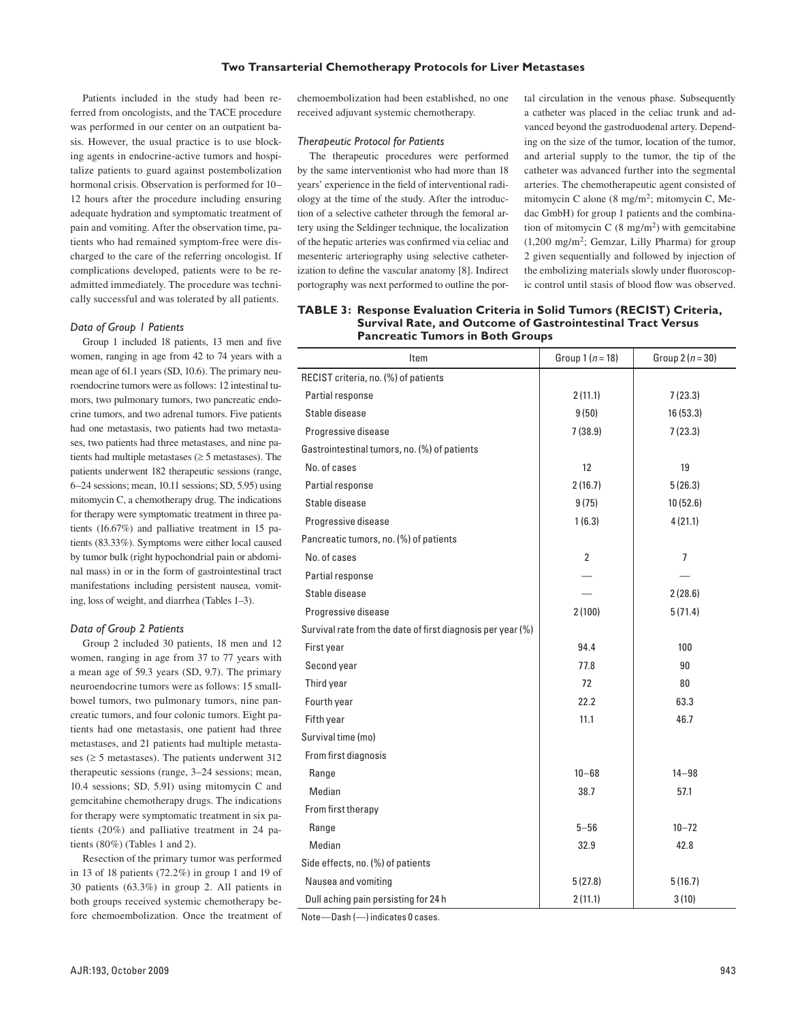## **Two Transarterial Chemotherapy Protocols for Liver Metastases**

Patients included in the study had been referred from oncologists, and the TACE procedure was performed in our center on an outpatient basis. However, the usual practice is to use blocking agents in endocrine-active tumors and hospitalize patients to guard against postembolization hormonal crisis. Observation is performed for 10– 12 hours after the procedure including ensuring adequate hydration and symptomatic treatment of pain and vomiting. After the observation time, patients who had remained symptom-free were discharged to the care of the referring oncologist. If complications developed, patients were to be readmitted immediately. The procedure was technically successful and was tolerated by all patients.

# *Data of Group 1 Patients*

Group 1 included 18 patients, 13 men and five women, ranging in age from 42 to 74 years with a mean age of 61.1 years (SD, 10.6). The primary neuroendocrine tumors were as follows: 12 intestinal tumors, two pulmonary tumors, two pancreatic endocrine tumors, and two adrenal tumors. Five patients had one metastasis, two patients had two metastases, two patients had three metastases, and nine patients had multiple metastases ( $\geq$  5 metastases). The patients underwent 182 therapeutic sessions (range, 6–24 sessions; mean, 10.11 sessions; SD, 5.95) using mitomycin C, a chemotherapy drug. The indications for therapy were symptomatic treatment in three patients (16.67%) and palliative treatment in 15 patients (83.33%). Symptoms were either local caused by tumor bulk (right hypochondrial pain or abdominal mass) in or in the form of gastrointestinal tract manifestations including persistent nausea, vomiting, loss of weight, and diarrhea (Tables 1–3).

## *Data of Group 2 Patients*

Group 2 included 30 patients, 18 men and 12 women, ranging in age from 37 to 77 years with a mean age of 59.3 years (SD, 9.7). The primary neuroendocrine tumors were as follows: 15 smallbowel tumors, two pulmonary tumors, nine pancreatic tumors, and four colonic tumors. Eight patients had one metastasis, one patient had three metastases, and 21 patients had multiple metastases ( $\geq$  5 metastases). The patients underwent 312 therapeutic sessions (range, 3–24 sessions; mean, 10.4 sessions; SD, 5.91) using mitomycin C and gemcitabine chemotherapy drugs. The indications for therapy were symptomatic treatment in six patients (20%) and palliative treatment in 24 patients (80%) (Tables 1 and 2).

Resection of the primary tumor was performed in 13 of 18 patients (72.2%) in group 1 and 19 of 30 patients (63.3%) in group 2. All patients in both groups received systemic chemotherapy before chemoembolization. Once the treatment of

chemoembolization had been established, no one received adjuvant systemic chemotherapy.

# *Therapeutic Protocol for Patients*

The therapeutic procedures were performed by the same interventionist who had more than 18 years' experience in the field of interventional radiology at the time of the study. After the introduction of a selective catheter through the femoral artery using the Seldinger technique, the localization of the hepatic arteries was confirmed via celiac and mesenteric arteriography using selective catheterization to define the vascular anatomy [8]. Indirect portography was next performed to outline the portal circulation in the venous phase. Subsequently a catheter was placed in the celiac trunk and advanced beyond the gastroduodenal artery. Depending on the size of the tumor, location of the tumor, and arterial supply to the tumor, the tip of the catheter was advanced further into the segmental arteries. The chemotherapeutic agent consisted of mitomycin C alone (8 mg/m2; mitomycin C, Medac GmbH) for group 1 patients and the combination of mitomycin C  $(8 \text{ mg/m}^2)$  with gemcitabine  $(1,200 \text{ mg/m}^2)$ ; Gemzar, Lilly Pharma) for group 2 given sequentially and followed by injection of the embolizing materials slowly under fluoroscopic control until stasis of blood flow was observed.

# **TABLE 3: Response Evaluation Criteria in Solid Tumors (RECIST) Criteria, Survival Rate, and Outcome of Gastrointestinal Tract Versus Pancreatic Tumors in Both Groups**

| Item                                                        | Group $1(n = 18)$ | Group 2 ( $n = 30$ ) |
|-------------------------------------------------------------|-------------------|----------------------|
| RECIST criteria, no. (%) of patients                        |                   |                      |
| Partial response                                            | 2(11.1)           | 7(23.3)              |
| Stable disease                                              | 9(50)             | 16(53.3)             |
| Progressive disease                                         | 7(38.9)           | 7(23.3)              |
| Gastrointestinal tumors, no. (%) of patients                |                   |                      |
| No. of cases                                                | 12                | 19                   |
| Partial response                                            | 2(16.7)           | 5(26.3)              |
| Stable disease                                              | 9(75)             | 10 (52.6)            |
| Progressive disease                                         | 1(6.3)            | 4(21.1)              |
| Pancreatic tumors, no. (%) of patients                      |                   |                      |
| No. of cases                                                | $\overline{2}$    | $\overline{7}$       |
| Partial response                                            |                   |                      |
| Stable disease                                              |                   | 2(28.6)              |
| Progressive disease                                         | 2(100)            | 5(71.4)              |
| Survival rate from the date of first diagnosis per year (%) |                   |                      |
| First year                                                  | 94.4              | 100                  |
| Second year                                                 | 77.8              | 90                   |
| Third year                                                  | 72                | 80                   |
| Fourth year                                                 | 22.2              | 63.3                 |
| Fifth year                                                  | 11.1              | 46.7                 |
| Survival time (mo)                                          |                   |                      |
| From first diagnosis                                        |                   |                      |
| Range                                                       | $10 - 68$         | $14 - 98$            |
| Median                                                      | 38.7              | 57.1                 |
| From first therapy                                          |                   |                      |
| Range                                                       | $5 - 56$          | $10 - 72$            |
| Median                                                      | 32.9              | 42.8                 |
| Side effects, no. (%) of patients                           |                   |                      |
| Nausea and vomiting                                         | 5(27.8)           | 5(16.7)              |
| Dull aching pain persisting for 24 h                        | 2(11.1)           | 3(10)                |

Note—Dash (—) indicates 0 cases.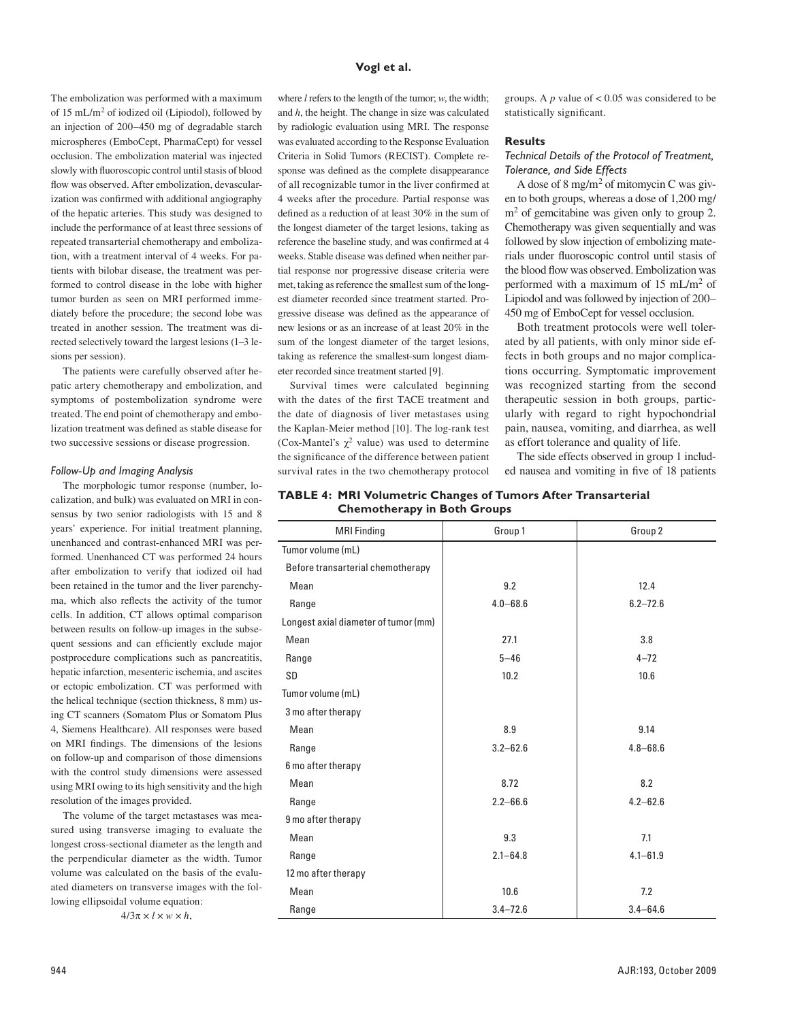The embolization was performed with a maximum of 15 mL/m2 of iodized oil (Lipiodol), followed by an injection of 200–450 mg of degradable starch microspheres (EmboCept, PharmaCept) for vessel occlusion. The embolization material was injected slowly with fluoroscopic control until stasis of blood flow was observed. After embolization, devascularization was confirmed with additional angiography of the hepatic arteries. This study was designed to include the performance of at least three sessions of repeated transarterial chemotherapy and embolization, with a treatment interval of 4 weeks. For patients with bilobar disease, the treatment was performed to control disease in the lobe with higher tumor burden as seen on MRI performed immediately before the procedure; the second lobe was treated in another session. The treatment was directed selectively toward the largest lesions (1–3 lesions per session).

The patients were carefully observed after hepatic artery chemotherapy and embolization, and symptoms of postembolization syndrome were treated. The end point of chemotherapy and embolization treatment was defined as stable disease for two successive sessions or disease progression.

#### *Follow-Up and Imaging Analysis*

The morphologic tumor response (number, localization, and bulk) was evaluated on MRI in consensus by two senior radiologists with 15 and 8 years' experience. For initial treatment planning, unenhanced and contrast-enhanced MRI was performed. Unenhanced CT was performed 24 hours after embolization to verify that iodized oil had been retained in the tumor and the liver parenchyma, which also reflects the activity of the tumor cells. In addition, CT allows optimal comparison between results on follow-up images in the subsequent sessions and can efficiently exclude major postprocedure complications such as pancreatitis, hepatic infarction, mesenteric ischemia, and ascites or ectopic embolization. CT was performed with the helical technique (section thickness, 8 mm) using CT scanners (Somatom Plus or Somatom Plus 4, Siemens Healthcare). All responses were based on MRI findings. The dimensions of the lesions on follow-up and comparison of those dimensions with the control study dimensions were assessed using MRI owing to its high sensitivity and the high resolution of the images provided.

The volume of the target metastases was measured using transverse imaging to evaluate the longest cross-sectional diameter as the length and the perpendicular diameter as the width. Tumor volume was calculated on the basis of the evaluated diameters on transverse images with the following ellipsoidal volume equation:

 $4/3\pi \times l \times w \times h$ ,

# **Vogl et al.**

where *l* refers to the length of the tumor; *w*, the width; and *h*, the height. The change in size was calculated by radiologic evaluation using MRI. The response was evaluated according to the Response Evaluation Criteria in Solid Tumors (RECIST). Complete response was defined as the complete disappearance of all recognizable tumor in the liver confirmed at 4 weeks after the procedure. Partial response was defined as a reduction of at least 30% in the sum of the longest diameter of the target lesions, taking as reference the baseline study, and was confirmed at 4 weeks. Stable disease was defined when neither partial response nor progressive disease criteria were met, taking as reference the smallest sum of the longest diameter recorded since treatment started. Progressive disease was defined as the appearance of new lesions or as an increase of at least 20% in the sum of the longest diameter of the target lesions, taking as reference the smallest-sum longest diameter recorded since treatment started [9].

Survival times were calculated beginning with the dates of the first TACE treatment and the date of diagnosis of liver metastases using the Kaplan-Meier method [10]. The log-rank test (Cox-Mantel's  $\chi^2$  value) was used to determine the significance of the difference between patient survival rates in the two chemotherapy protocol

groups. A  $p$  value of  $< 0.05$  was considered to be statistically significant.

#### **Results**

*Technical Details of the Protocol of Treatment, Tolerance, and Side Effects*

A dose of 8 mg/m2 of mitomycin C was given to both groups, whereas a dose of 1,200 mg/  $m<sup>2</sup>$  of gemcitabine was given only to group 2. Chemotherapy was given sequentially and was followed by slow injection of embolizing materials under fluoroscopic control until stasis of the blood flow was observed. Embolization was performed with a maximum of 15 mL/m2 of Lipiodol and was followed by injection of 200– 450 mg of EmboCept for vessel occlusion.

Both treatment protocols were well tolerated by all patients, with only minor side effects in both groups and no major complications occurring. Symptomatic improvement was recognized starting from the second therapeutic session in both groups, particularly with regard to right hypochondrial pain, nausea, vomiting, and diarrhea, as well as effort tolerance and quality of life.

The side effects observed in group 1 included nausea and vomiting in five of 18 patients

# **TABLE 4: MRI Volumetric Changes of Tumors After Transarterial Chemotherapy in Both Groups**

| <b>MRI Finding</b>                   | Group 1      | Group 2      |
|--------------------------------------|--------------|--------------|
| Tumor volume (mL)                    |              |              |
| Before transarterial chemotherapy    |              |              |
| Mean                                 | 9.2          | 12.4         |
| Range                                | $4.0 - 68.6$ | $6.2 - 72.6$ |
| Longest axial diameter of tumor (mm) |              |              |
| Mean                                 | 27.1         | 3.8          |
| Range                                | $5 - 46$     | $4 - 72$     |
| SD                                   | 10.2         | 10.6         |
| Tumor volume (mL)                    |              |              |
| 3 mo after therapy                   |              |              |
| Mean                                 | 8.9          | 9.14         |
| Range                                | $3.2 - 62.6$ | $4.8 - 68.6$ |
| 6 mo after therapy                   |              |              |
| Mean                                 | 8.72         | 8.2          |
| Range                                | $2.2 - 66.6$ | $4.2 - 62.6$ |
| 9 mo after therapy                   |              |              |
| Mean                                 | 9.3          | 7.1          |
| Range                                | $2.1 - 64.8$ | $4.1 - 61.9$ |
| 12 mo after therapy                  |              |              |
| Mean                                 | 10.6         | 7.2          |
| Range                                | $3.4 - 72.6$ | $3.4 - 64.6$ |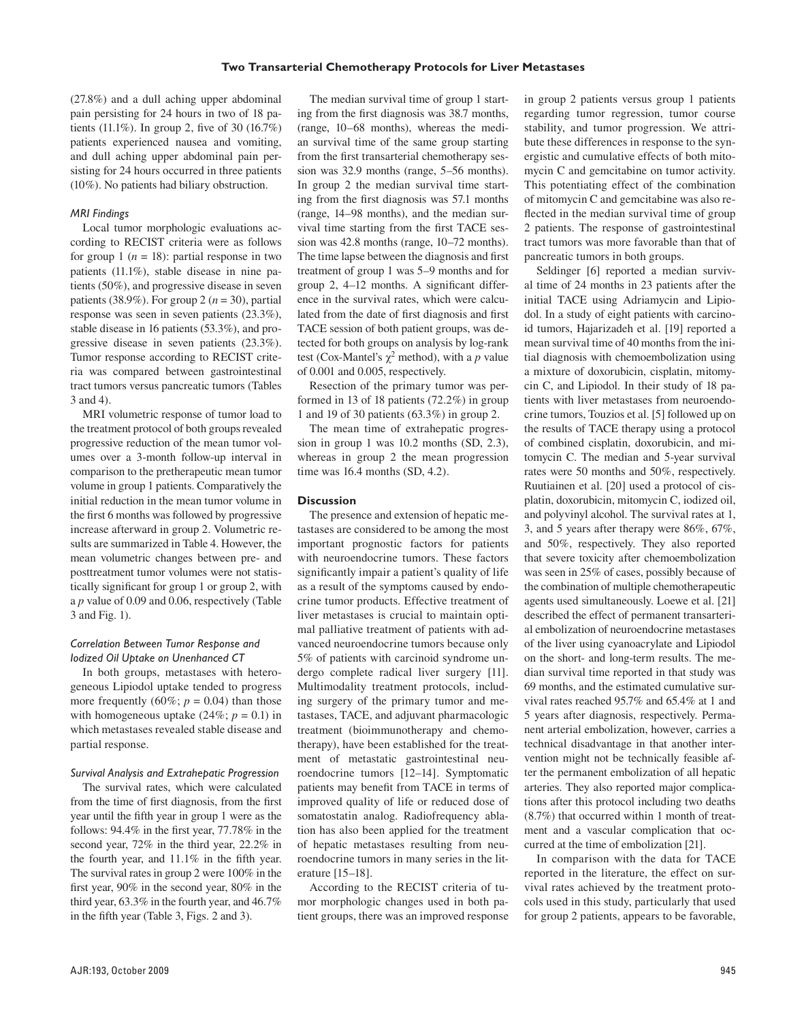## **Two Transarterial Chemotherapy Protocols for Liver Metastases**

(27.8%) and a dull aching upper abdominal pain persisting for 24 hours in two of 18 patients (11.1%). In group 2, five of 30 (16.7%) patients experienced nausea and vomiting, and dull aching upper abdominal pain persisting for 24 hours occurred in three patients (10%). No patients had biliary obstruction.

## *MRI Findings*

Local tumor morphologic evaluations according to RECIST criteria were as follows for group 1 ( $n = 18$ ): partial response in two patients (11.1%), stable disease in nine patients (50%), and progressive disease in seven patients (38.9%). For group 2 ( $n = 30$ ), partial response was seen in seven patients (23.3%), stable disease in 16 patients (53.3%), and progressive disease in seven patients (23.3%). Tumor response according to RECIST criteria was compared between gastrointestinal tract tumors versus pancreatic tumors (Tables 3 and 4).

MRI volumetric response of tumor load to the treatment protocol of both groups revealed progressive reduction of the mean tumor volumes over a 3-month follow-up interval in comparison to the pretherapeutic mean tumor volume in group 1 patients. Comparatively the initial reduction in the mean tumor volume in the first 6 months was followed by progressive increase afterward in group 2. Volumetric results are summarized in Table 4. However, the mean volumetric changes between pre- and posttreatment tumor volumes were not statistically significant for group 1 or group 2, with a *p* value of 0.09 and 0.06, respectively (Table 3 and Fig. 1).

# *Correlation Between Tumor Response and Iodized Oil Uptake on Unenhanced CT*

In both groups, metastases with heterogeneous Lipiodol uptake tended to progress more frequently (60%;  $p = 0.04$ ) than those with homogeneous uptake  $(24\%; p = 0.1)$  in which metastases revealed stable disease and partial response.

## *Survival Analysis and Extrahepatic Progression*

The survival rates, which were calculated from the time of first diagnosis, from the first year until the fifth year in group 1 were as the follows: 94.4% in the first year, 77.78% in the second year, 72% in the third year, 22.2% in the fourth year, and 11.1% in the fifth year. The survival rates in group 2 were 100% in the first year, 90% in the second year, 80% in the third year, 63.3% in the fourth year, and 46.7% in the fifth year (Table 3, Figs. 2 and 3).

The median survival time of group 1 starting from the first diagnosis was 38.7 months, (range, 10–68 months), whereas the median survival time of the same group starting from the first transarterial chemotherapy session was 32.9 months (range, 5–56 months). In group 2 the median survival time starting from the first diagnosis was 57.1 months (range, 14–98 months), and the median survival time starting from the first TACE session was 42.8 months (range, 10–72 months). The time lapse between the diagnosis and first treatment of group 1 was 5–9 months and for group 2, 4–12 months. A significant difference in the survival rates, which were calculated from the date of first diagnosis and first TACE session of both patient groups, was detected for both groups on analysis by log-rank test (Cox-Mantel's  $\gamma^2$  method), with a *p* value of 0.001 and 0.005, respectively.

Resection of the primary tumor was performed in 13 of 18 patients (72.2%) in group 1 and 19 of 30 patients (63.3%) in group 2.

The mean time of extrahepatic progression in group 1 was 10.2 months (SD, 2.3), whereas in group 2 the mean progression time was 16.4 months (SD, 4.2).

# **Discussion**

The presence and extension of hepatic metastases are considered to be among the most important prognostic factors for patients with neuroendocrine tumors. These factors significantly impair a patient's quality of life as a result of the symptoms caused by endocrine tumor products. Effective treatment of liver metastases is crucial to maintain optimal palliative treatment of patients with advanced neuroendocrine tumors because only 5% of patients with carcinoid syndrome undergo complete radical liver surgery [11]. Multimodality treatment protocols, including surgery of the primary tumor and metastases, TACE, and adjuvant pharmacologic treatment (bioimmunotherapy and chemotherapy), have been established for the treatment of metastatic gastrointestinal neuroendocrine tumors [12–14]. Symptomatic patients may benefit from TACE in terms of improved quality of life or reduced dose of somatostatin analog. Radiofrequency ablation has also been applied for the treatment of hepatic metastases resulting from neuroendocrine tumors in many series in the literature [15–18].

According to the RECIST criteria of tumor morphologic changes used in both patient groups, there was an improved response in group 2 patients versus group 1 patients regarding tumor regression, tumor course stability, and tumor progression. We attribute these differences in response to the synergistic and cumulative effects of both mitomycin C and gemcitabine on tumor activity. This potentiating effect of the combination of mitomycin C and gemcitabine was also reflected in the median survival time of group 2 patients. The response of gastrointestinal tract tumors was more favorable than that of pancreatic tumors in both groups.

Seldinger [6] reported a median survival time of 24 months in 23 patients after the initial TACE using Adriamycin and Lipiodol. In a study of eight patients with carcinoid tumors, Hajarizadeh et al. [19] reported a mean survival time of 40 months from the initial diagnosis with chemoembolization using a mixture of doxorubicin, cisplatin, mitomycin C, and Lipiodol. In their study of 18 patients with liver metastases from neuroendocrine tumors, Touzios et al. [5] followed up on the results of TACE therapy using a protocol of combined cisplatin, doxorubicin, and mitomycin C. The median and 5-year survival rates were 50 months and 50%, respectively. Ruutiainen et al. [20] used a protocol of cisplatin, doxorubicin, mitomycin C, iodized oil, and polyvinyl alcohol. The survival rates at 1, 3, and 5 years after therapy were 86%, 67%, and 50%, respectively. They also reported that severe toxicity after chemoembolization was seen in 25% of cases, possibly because of the combination of multiple chemotherapeutic agents used simultaneously. Loewe et al. [21] described the effect of permanent transarterial embolization of neuroendocrine metastases of the liver using cyanoacrylate and Lipiodol on the short- and long-term results. The median survival time reported in that study was 69 months, and the estimated cumulative survival rates reached 95.7% and 65.4% at 1 and 5 years after diagnosis, respectively. Permanent arterial embolization, however, carries a technical disadvantage in that another intervention might not be technically feasible after the permanent embolization of all hepatic arteries. They also reported major complications after this protocol including two deaths (8.7%) that occurred within 1 month of treatment and a vascular complication that occurred at the time of embolization [21].

In comparison with the data for TACE reported in the literature, the effect on survival rates achieved by the treatment protocols used in this study, particularly that used for group 2 patients, appears to be favorable,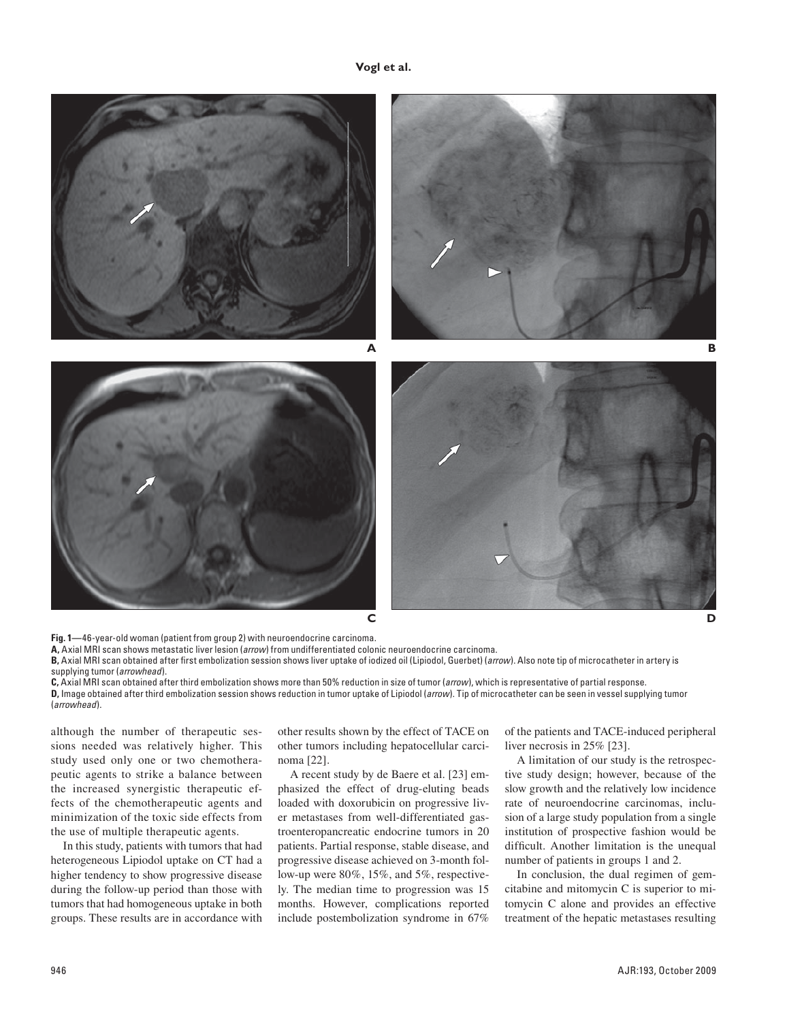# **Vogl et al.**



**Fig. 1—**46-year-old woman (patient from group 2) with neuroendocrine carcinoma.

**A,** Axial MRI scan shows metastatic liver lesion (*arrow*) from undifferentiated colonic neuroendocrine carcinoma.

**B,** Axial MRI scan obtained after first embolization session shows liver uptake of iodized oil (Lipiodol, Guerbet) (*arrow*). Also note tip of microcatheter in artery is supplying tumor (*arrowhead*).

**C,** Axial MRI scan obtained after third embolization shows more than 50% reduction in size of tumor (*arrow*), which is representative of partial response. **D,** Image obtained after third embolization session shows reduction in tumor uptake of Lipiodol (*arrow*). Tip of microcatheter can be seen in vessel supplying tumor (*arrowhead*).

although the number of therapeutic sessions needed was relatively higher. This study used only one or two chemotherapeutic agents to strike a balance between the increased synergistic therapeutic effects of the chemotherapeutic agents and minimization of the toxic side effects from the use of multiple therapeutic agents.

In this study, patients with tumors that had heterogeneous Lipiodol uptake on CT had a higher tendency to show progressive disease during the follow-up period than those with tumors that had homogeneous uptake in both groups. These results are in accordance with other results shown by the effect of TACE on other tumors including hepatocellular carcinoma [22].

A recent study by de Baere et al. [23] emphasized the effect of drug-eluting beads loaded with doxorubicin on progressive liver metastases from well-differentiated gastroenteropancreatic endocrine tumors in 20 patients. Partial response, stable disease, and progressive disease achieved on 3-month follow-up were 80%, 15%, and 5%, respectively. The median time to progression was 15 months. However, complications reported include postembolization syndrome in 67%

of the patients and TACE-induced peripheral liver necrosis in 25% [23].

A limitation of our study is the retrospective study design; however, because of the slow growth and the relatively low incidence rate of neuroendocrine carcinomas, inclusion of a large study population from a single institution of prospective fashion would be difficult. Another limitation is the unequal number of patients in groups 1 and 2.

In conclusion, the dual regimen of gemcitabine and mitomycin C is superior to mitomycin C alone and provides an effective treatment of the hepatic metastases resulting